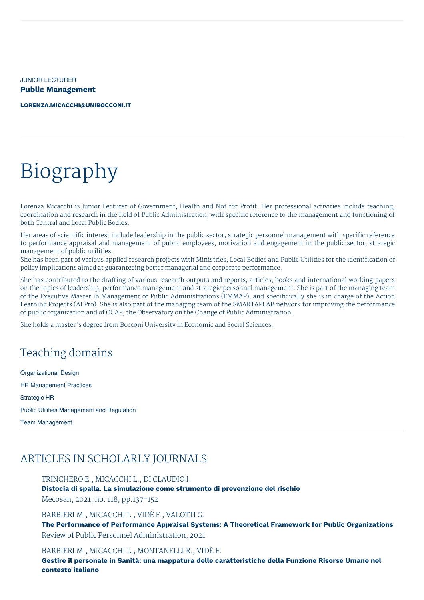JUNIOR LECTURER **Public Management**

**[LORENZA.MICACCHI@UNIBOCCONI.IT](mailto:lorenza.micacchi@unibocconi.it)**

# Biography

Lorenza Micacchi is Junior Lecturer of Government, Health and Not for Profit. Her professional activities include teaching, coordination and research in the field of Public Administration, with specific reference to the management and functioning of both Central and Local Public Bodies.

Her areas of scientific interest include leadership in the public sector, strategic personnel management with specific reference to performance appraisal and management of public employees, motivation and engagement in the public sector, strategic management of public utilities.

She has been part of various applied research projects with Ministries, Local Bodies and Public Utilities for the identification of policy implications aimed at guaranteeing better managerial and corporate performance.

She has contributed to the drafting of various research outputs and reports, articles, books and international working papers on the topics of leadership, performance management and strategic personnel management. She is part of the managing team of the Executive Master in Management of Public Administrations (EMMAP), and specificically she is in charge of the Action Learning Projects (ALPro). She is also part of the managing team of the SMARTAPLAB network for improving the performance of public organization and of OCAP, the Observatory on the Change of Public Administration.

She holds a master's degree from Bocconi University in Economic and Social Sciences.

# Teaching domains

Organizational Design HR Management Practices Strategic HR Public Utilities Management and Regulation Team Management

# ARTICLES IN SCHOLARLY JOURNALS

TRINCHERO E., MICACCHI L., DI CLAUDIO I.

**Distocia di spalla. La simulazione come strumento di prevenzione del rischio** Mecosan, 2021, no. 118, pp.137-152

BARBIERI M., MICACCHI L., VIDÈ F., VALOTTI G.

**The Performance of Performance Appraisal Systems: A Theoretical Framework for Public Organizations** Review of Public Personnel Administration, 2021

#### BARBIERI M., MICACCHI L., MONTANELLI R., VIDÈ F.

**Gestire il personale in Sanità: una mappatura delle caratteristiche della Funzione Risorse Umane nel contesto italiano**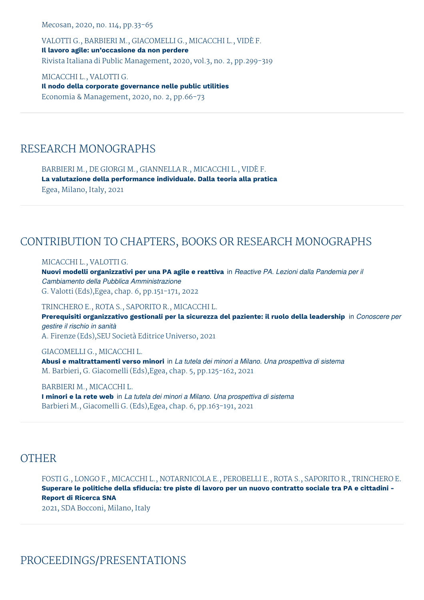Mecosan, 2020, no. 114, pp.33-65

VALOTTI G., BARBIERI M., GIACOMELLI G., MICACCHI L., VIDÈ F. **Il lavoro agile: un'occasione da non perdere** Rivista Italiana di Public Management, 2020, vol.3, no. 2, pp.299-319

MICACCHI L., VALOTTI G. **Il nodo della corporate governance nelle public utilities** Economia & Management, 2020, no. 2, pp.66-73

# RESEARCH MONOGRAPHS

BARBIERI M., DE GIORGI M., GIANNELLA R., MICACCHI L., VIDÈ F. **La valutazione della performance individuale. Dalla teoria alla pratica** Egea, Milano, Italy, 2021

# CONTRIBUTION TO CHAPTERS, BOOKS OR RESEARCH MONOGRAPHS

#### MICACCHI L., VALOTTI G.

**Nuovi modelli organizzativi per una PA agile e reattiva** in *Reactive PA. Lezioni dalla Pandemia per il Cambiamento della Pubblica Amministrazione* G. Valotti (Eds),Egea, chap. 6, pp.151-171, 2022

TRINCHERO E., ROTA S., SAPORITO R., MICACCHI L. **Prerequisiti organizzativo gestionali per la sicurezza del paziente: il ruolo della leadership** in *Conoscere per gestire il rischio in sanità* A. Firenze (Eds),SEU Società Editrice Universo, 2021

#### GIACOMELLI G., MICACCHI L.

**Abusi e maltrattamenti verso minori** in *La tutela dei minori a Milano. Una prospettiva di sistema* M. Barbieri, G. Giacomelli (Eds),Egea, chap. 5, pp.125-162, 2021

#### BARBIERI M., MICACCHI L.

**I minori e la rete web** in *La tutela dei minori a Milano. Una prospettiva di sistema* Barbieri M., Giacomelli G. (Eds),Egea, chap. 6, pp.163-191, 2021

## **OTHER**

FOSTI G., LONGO F., MICACCHI L., NOTARNICOLA E., PEROBELLI E., ROTA S., SAPORITO R., TRINCHERO E. Superare le politiche della sfiducia: tre piste di lavoro per un nuovo contratto sociale tra PA e cittadini -**Report di Ricerca SNA** 2021, SDA Bocconi, Milano, Italy